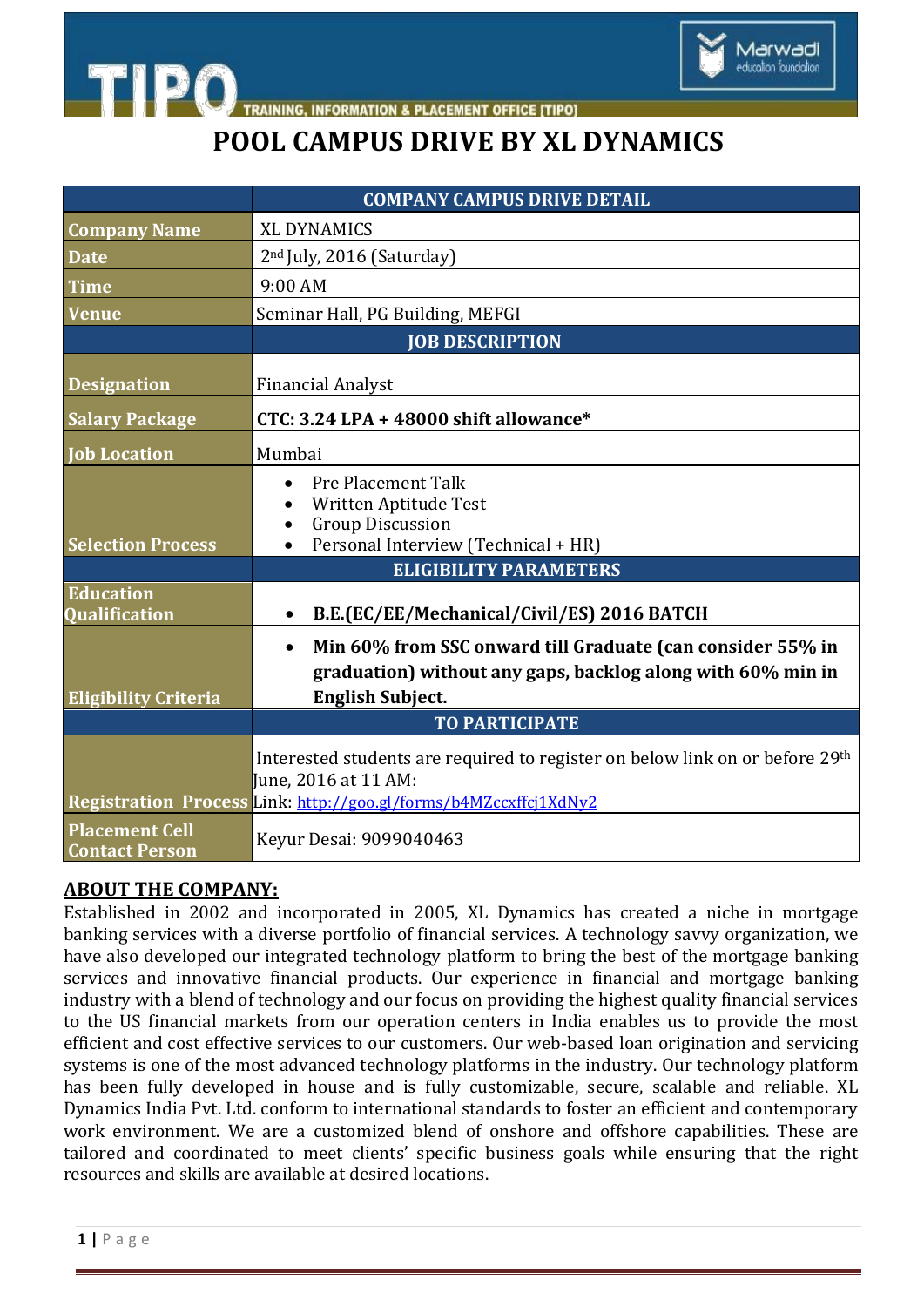

**INFORMATION & PLACEMENT OFFICE ITIPOT** 

## **POOL CAMPUS DRIVE BY XL DYNAMICS**

|                                                | <b>COMPANY CAMPUS DRIVE DETAIL</b>                                                                                                                                       |
|------------------------------------------------|--------------------------------------------------------------------------------------------------------------------------------------------------------------------------|
| <b>Company Name</b>                            | <b>XL DYNAMICS</b>                                                                                                                                                       |
| <b>Date</b>                                    | 2 <sup>nd</sup> July, 2016 (Saturday)                                                                                                                                    |
| <b>Time</b>                                    | 9:00 AM                                                                                                                                                                  |
| <b>Venue</b>                                   | Seminar Hall, PG Building, MEFGI                                                                                                                                         |
|                                                | <b>JOB DESCRIPTION</b>                                                                                                                                                   |
| <b>Designation</b>                             | <b>Financial Analyst</b>                                                                                                                                                 |
| <b>Salary Package</b>                          | CTC: 3.24 LPA + 48000 shift allowance*                                                                                                                                   |
| <b>Job Location</b>                            | Mumbai                                                                                                                                                                   |
| <b>Selection Process</b>                       | Pre Placement Talk<br>Written Aptitude Test<br><b>Group Discussion</b><br>Personal Interview (Technical + HR)                                                            |
|                                                | <b>ELIGIBILITY PARAMETERS</b>                                                                                                                                            |
| <b>Education</b><br><b>Qualification</b>       | B.E.(EC/EE/Mechanical/Civil/ES) 2016 BATCH<br>$\bullet$                                                                                                                  |
| <b>Eligibility Criteria</b>                    | Min 60% from SSC onward till Graduate (can consider 55% in<br>$\bullet$<br>graduation) without any gaps, backlog along with 60% min in<br><b>English Subject.</b>        |
|                                                | <b>TO PARTICIPATE</b>                                                                                                                                                    |
|                                                | Interested students are required to register on below link on or before 29th<br>June, 2016 at 11 AM:<br>Registration Process Link: http://goo.gl/forms/b4MZccxffcj1XdNy2 |
| <b>Placement Cell</b><br><b>Contact Person</b> | Keyur Desai: 9099040463                                                                                                                                                  |

## **ABOUT THE COMPANY:**

**ETIPO** 

Established in 2002 and incorporated in 2005, XL Dynamics has created a niche in mortgage banking services with a diverse portfolio of financial services. A technology savvy organization, we have also developed our integrated technology platform to bring the best of the mortgage banking services and innovative financial products. Our experience in financial and mortgage banking industry with a blend of technology and our focus on providing the highest quality financial services to the US financial markets from our operation centers in India enables us to provide the most efficient and cost effective services to our customers. Our web-based loan origination and servicing systems is one of the most advanced technology platforms in the industry. Our technology platform has been fully developed in house and is fully customizable, secure, scalable and reliable. XL Dynamics India Pvt. Ltd. conform to international standards to foster an efficient and contemporary work environment. We are a customized blend of onshore and offshore capabilities. These are tailored and coordinated to meet clients' specific business goals while ensuring that the right resources and skills are available at desired locations.